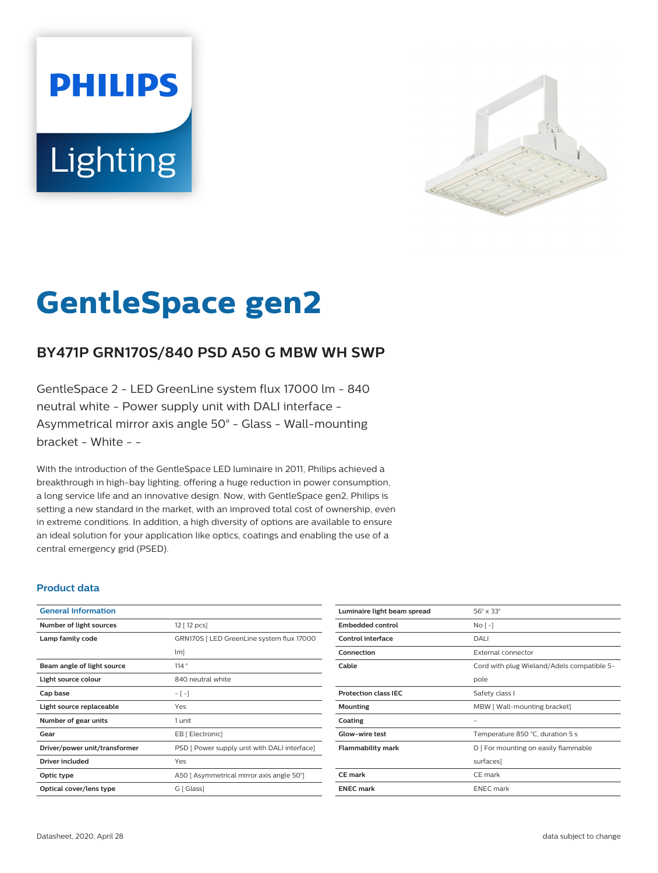# **PHILIPS Lighting**



# **GentleSpace gen2**

# **BY471P GRN170S/840 PSD A50 G MBW WH SWP**

GentleSpace 2 - LED GreenLine system flux 17000 lm - 840 neutral white - Power supply unit with DALI interface - Asymmetrical mirror axis angle 50° - Glass - Wall-mounting bracket - White - -

With the introduction of the GentleSpace LED luminaire in 2011, Philips achieved a breakthrough in high-bay lighting, offering a huge reduction in power consumption, a long service life and an innovative design. Now, with GentleSpace gen2, Philips is setting a new standard in the market, with an improved total cost of ownership, even in extreme conditions. In addition, a high diversity of options are available to ensure an ideal solution for your application like optics, coatings and enabling the use of a central emergency grid (PSED).

#### **Product data**

| <b>General Information</b>    |                                              |
|-------------------------------|----------------------------------------------|
| Number of light sources       | 12 [ 12 pcs]                                 |
| Lamp family code              | GRN170S   LED GreenLine system flux 17000    |
|                               | $\lfloor m \rfloor$                          |
| Beam angle of light source    | 114°                                         |
| Light source colour           | 840 neutral white                            |
| Cap base                      | $-[-]$                                       |
| Light source replaceable      | Yes                                          |
| Number of gear units          | 1 unit                                       |
| Gear                          | EB [ Electronic]                             |
| Driver/power unit/transformer | PSD [ Power supply unit with DALI interface] |
| Driver included               | Yes                                          |
| Optic type                    | A50   Asymmetrical mirror axis angle 50°]    |
| Optical cover/lens type       | G [ Glass]                                   |
|                               |                                              |

| Luminaire light beam spread | $56^\circ \times 33^\circ$                 |
|-----------------------------|--------------------------------------------|
| <b>Embedded control</b>     | $No$ [ -1                                  |
| <b>Control interface</b>    | DALI                                       |
| Connection                  | External connector                         |
| Cable                       | Cord with plug Wieland/Adels compatible 5- |
|                             | pole                                       |
| <b>Protection class IEC</b> | Safety class I                             |
| Mounting                    | MBW [ Wall-mounting bracket]               |
| Coating                     |                                            |
| Glow-wire test              | Temperature 850 °C, duration 5 s           |
| <b>Flammability mark</b>    | D   For mounting on easily flammable       |
|                             | surfaces]                                  |
| <b>CE</b> mark              | CE mark                                    |
| <b>ENEC</b> mark            | <b>ENEC</b> mark                           |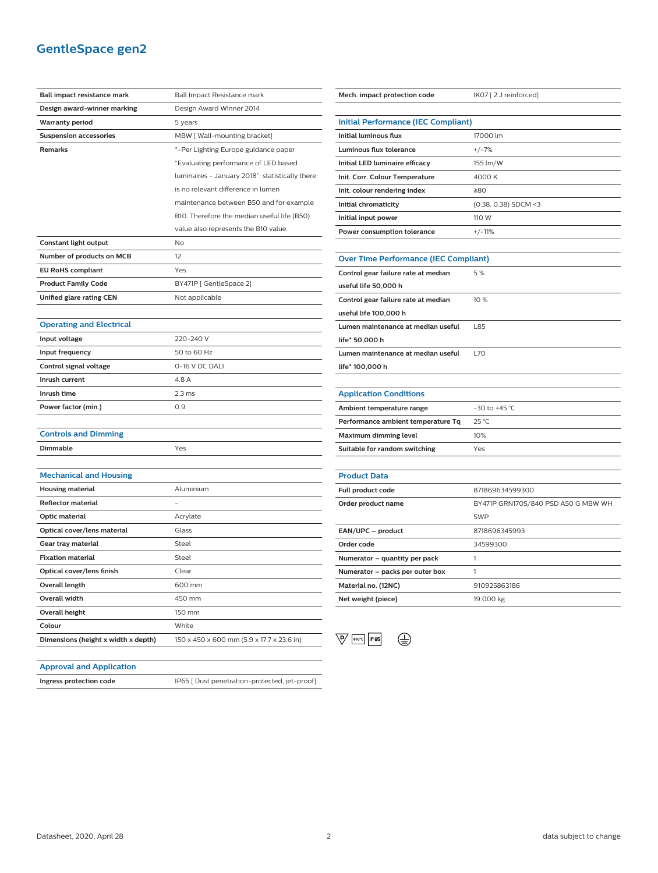## **GentleSpace gen2**

| Ball impact resistance mark         | Ball Impact Resistance mark                     |
|-------------------------------------|-------------------------------------------------|
| Design award-winner marking         | Design Award Winner 2014                        |
| <b>Warranty period</b>              | 5 years                                         |
| <b>Suspension accessories</b>       | MBW [ Wall-mounting bracket]                    |
| Remarks                             | *-Per Lighting Europe guidance paper            |
|                                     | "Evaluating performance of LED based            |
|                                     | luminaires - January 2018": statistically there |
|                                     | is no relevant difference in lumen              |
|                                     | maintenance between B50 and for example         |
|                                     | B10. Therefore the median useful life (B50)     |
|                                     | value also represents the B10 value.            |
| Constant light output               | No                                              |
| Number of products on MCB           | 12                                              |
| <b>EU RoHS compliant</b>            | Yes                                             |
| <b>Product Family Code</b>          | BY471P [ GentleSpace 2]                         |
| Unified glare rating CEN            | Not applicable                                  |
|                                     |                                                 |
| <b>Operating and Electrical</b>     |                                                 |
| Input voltage                       | 220-240 V                                       |
| Input frequency                     | 50 to 60 Hz                                     |
| Control signal voltage              | 0-16 V DC DALI                                  |
| Inrush current                      | 4.8 A                                           |
| Inrush time                         | 2.3 <sub>ms</sub>                               |
| Power factor (min.)                 | 0.9                                             |
|                                     |                                                 |
| <b>Controls and Dimming</b>         |                                                 |
| <b>Dimmable</b>                     | Yes                                             |
|                                     |                                                 |
| <b>Mechanical and Housing</b>       |                                                 |
| <b>Housing material</b>             | Aluminium                                       |
| <b>Reflector material</b>           |                                                 |
| Optic material                      | Acrylate                                        |
| Optical cover/lens material         | Glass                                           |
| Gear tray material                  | Steel                                           |
| <b>Fixation material</b>            | Steel                                           |
| Optical cover/lens finish           | Clear                                           |
| <b>Overall length</b>               | 600 mm                                          |
| Overall width                       | 450 mm                                          |
| <b>Overall height</b>               | 150 mm                                          |
| Colour                              | White                                           |
| Dimensions (height x width x depth) | 150 x 450 x 600 mm (5.9 x 17.7 x 23.6 in)       |

| Mech. impact protection code                 | IK07 [2 J reinforced]               |
|----------------------------------------------|-------------------------------------|
|                                              |                                     |
| <b>Initial Performance (IEC Compliant)</b>   |                                     |
| Initial luminous flux                        | 17000 lm                            |
| Luminous flux tolerance                      | $+/-7%$                             |
| Initial LED luminaire efficacy               | 155 lm/W                            |
| Init. Corr. Colour Temperature               | 4000 K                              |
| Init. colour rendering index                 | 280                                 |
| Initial chromaticity                         | $(0.38, 0.38)$ SDCM <3              |
| Initial input power                          | 110 W                               |
| Power consumption tolerance                  | $+/-11%$                            |
|                                              |                                     |
| <b>Over Time Performance (IEC Compliant)</b> |                                     |
| Control gear failure rate at median          | 5%                                  |
| useful life 50,000 h                         |                                     |
| Control gear failure rate at median          | 10 %                                |
| useful life 100,000 h                        |                                     |
| Lumen maintenance at median useful           | L85                                 |
| life* 50,000 h                               |                                     |
| Lumen maintenance at median useful           | <b>L70</b>                          |
| life* 100,000 h                              |                                     |
|                                              |                                     |
| <b>Application Conditions</b>                |                                     |
| Ambient temperature range                    | $-30$ to $+45$ °C                   |
| Performance ambient temperature Tq           | 25 °C                               |
| <b>Maximum dimming level</b>                 | 10%                                 |
| Suitable for random switching                | Yes                                 |
|                                              |                                     |
| <b>Product Data</b>                          |                                     |
| Full product code                            | 871869634599300                     |
| Order product name                           | BY471P GRN170S/840 PSD A50 G MBW WH |
|                                              | <b>SWP</b>                          |
| EAN/UPC - product                            | 8718696345993                       |
| Order code                                   | 34599300                            |
| Numerator - quantity per pack                | 1                                   |

| Numerator – quantity per pack   |              |
|---------------------------------|--------------|
| Numerator - packs per outer box |              |
| Material no. (12NC)             | 910925863186 |
| Net weight (piece)              | 19.000 kg    |
|                                 |              |

# $\begin{picture}(180,10) \put(0,0){\line(1,0){10}} \put(15,0){\line(1,0){10}} \put(15,0){\line(1,0){10}} \put(15,0){\line(1,0){10}} \put(15,0){\line(1,0){10}} \put(15,0){\line(1,0){10}} \put(15,0){\line(1,0){10}} \put(15,0){\line(1,0){10}} \put(15,0){\line(1,0){10}} \put(15,0){\line(1,0){10}} \put(15,0){\line(1,0){10}} \put(15,0){\line($

#### **Approval and Application**

**Ingress protection code** IP65 [ Dust penetration-protected, jet-proof]